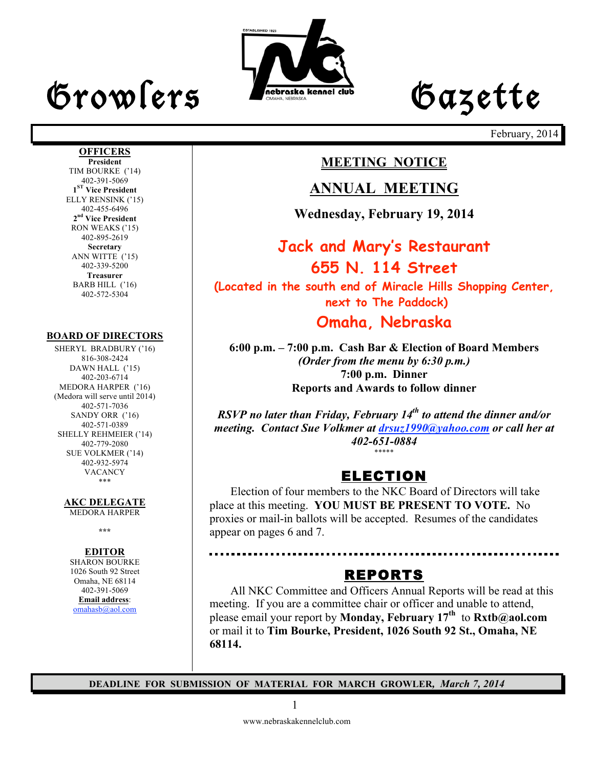# Growlers Lette



February, 2014

. . . . . . . . . . . . . . . . . .

### **MEETING NOTICE**

### **ANNUAL MEETING**

**Wednesday, February 19, 2014**

### **Jack and Mary's Restaurant 655 N. 114 Street (Located in the south end of Miracle Hills Shopping Center, next to The Paddock) Omaha, Nebraska**

**6:00 p.m. – 7:00 p.m. Cash Bar & Election of Board Members** *(Order from the menu by 6:30 p.m.)* **7:00 p.m. Dinner Reports and Awards to follow dinner**

*RSVP no later than Friday, February 14th to attend the dinner and/or meeting. Contact Sue Volkmer at drsuz1990@yahoo.com or call her at 402-651-0884* \*\*\*\*\*

### ELECTION

Election of four members to the NKC Board of Directors will take place at this meeting. **YOU MUST BE PRESENT TO VOTE.** No proxies or mail-in ballots will be accepted. Resumes of the candidates appear on pages 6 and 7.

### REPORTS

All NKC Committee and Officers Annual Reports will be read at this meeting. If you are a committee chair or officer and unable to attend, please email your report by **Monday, February 17th** to **Rxtb@aol.com** or mail it to **Tim Bourke, President, 1026 South 92 St., Omaha, NE 68114.**

**DEADLINE FOR SUBMISSION OF MATERIAL FOR MARCH GROWLER***, March 7, 2014*

### **OFFICERS**

**President** TIM BOURKE ('14) 402-391-5069 **1ST Vice President** ELLY RENSINK ('15) 402-455-6496 **2nd Vice President** RON WEAKS ('15) 402-895-2619 **Secretary** ANN WITTE ('15) 402-339-5200 **Treasurer** BARB HILL ('16) 402-572-5304

#### **BOARD OF DIRECTORS**

SHERYL BRADBURY ('16) 816-308-2424 DAWN HALL ('15) 402-203-6714 MEDORA HARPER ('16) (Medora will serve until 2014) 402-571-7036 SANDY ORR ('16) 402-571-0389 SHELLY REHMEIER ('14) 402-779-2080 SUE VOLKMER ('14) 402-932-5974 VACANCY \*\*\*

**AKC DELEGATE** 

MEDORA HARPER

**\*\*\***

#### **EDITOR**

SHARON BOURKE 1026 South 92 Street Omaha, NE 68114 402-391-5069 **Email address**: omahasb@aol.com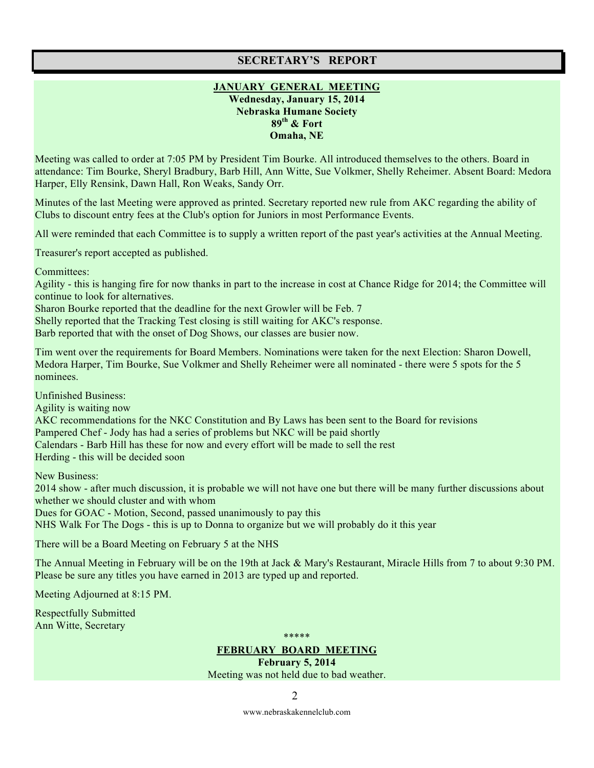#### **SECRETARY'S REPORT**

#### **JANUARY GENERAL MEETING Wednesday, January 15, 2014 Nebraska Humane Society 89th & Fort Omaha, NE**

Meeting was called to order at 7:05 PM by President Tim Bourke. All introduced themselves to the others. Board in attendance: Tim Bourke, Sheryl Bradbury, Barb Hill, Ann Witte, Sue Volkmer, Shelly Reheimer. Absent Board: Medora Harper, Elly Rensink, Dawn Hall, Ron Weaks, Sandy Orr.

Minutes of the last Meeting were approved as printed. Secretary reported new rule from AKC regarding the ability of Clubs to discount entry fees at the Club's option for Juniors in most Performance Events.

All were reminded that each Committee is to supply a written report of the past year's activities at the Annual Meeting.

Treasurer's report accepted as published.

Committees:

Agility - this is hanging fire for now thanks in part to the increase in cost at Chance Ridge for 2014; the Committee will continue to look for alternatives.

Sharon Bourke reported that the deadline for the next Growler will be Feb. 7

Shelly reported that the Tracking Test closing is still waiting for AKC's response.

Barb reported that with the onset of Dog Shows, our classes are busier now.

Tim went over the requirements for Board Members. Nominations were taken for the next Election: Sharon Dowell, Medora Harper, Tim Bourke, Sue Volkmer and Shelly Reheimer were all nominated - there were 5 spots for the 5 nominees.

Unfinished Business:

Agility is waiting now

AKC recommendations for the NKC Constitution and By Laws has been sent to the Board for revisions Pampered Chef - Jody has had a series of problems but NKC will be paid shortly Calendars - Barb Hill has these for now and every effort will be made to sell the rest Herding - this will be decided soon

New Business:

2014 show - after much discussion, it is probable we will not have one but there will be many further discussions about whether we should cluster and with whom Dues for GOAC - Motion, Second, passed unanimously to pay this

NHS Walk For The Dogs - this is up to Donna to organize but we will probably do it this year

There will be a Board Meeting on February 5 at the NHS

The Annual Meeting in February will be on the 19th at Jack & Mary's Restaurant, Miracle Hills from 7 to about 9:30 PM. Please be sure any titles you have earned in 2013 are typed up and reported.

Meeting Adjourned at 8:15 PM.

Respectfully Submitted Ann Witte, Secretary

\*\*\*\*\* **FEBRUARY BOARD MEETING**

**February 5, 2014** Meeting was not held due to bad weather.

2

www.nebraskakennelclub.com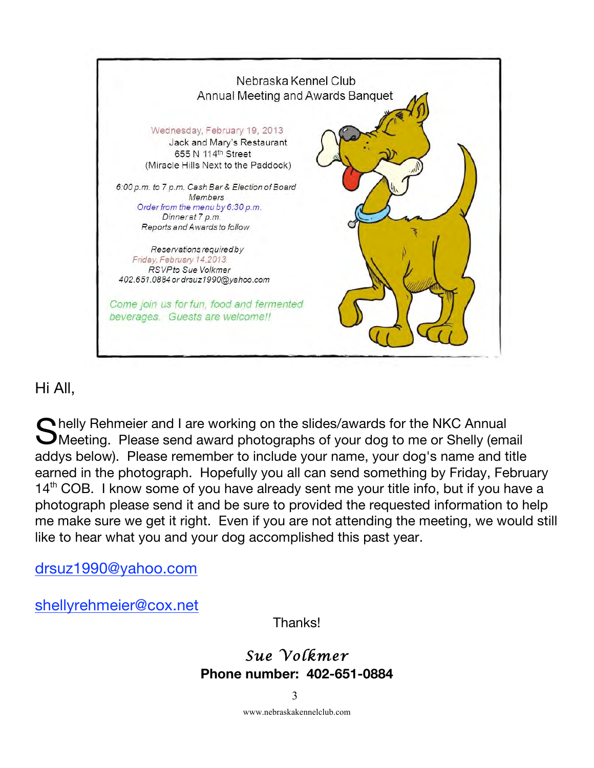

### Hi All,

Shelly Rehmeier and I are working on the slides/awards for the NKC Annual<br>SMeeting. Please send award photographs of your dog to me or Shelly (em. Meeting. Please send award photographs of your dog to me or Shelly (email addys below). Please remember to include your name, your dog's name and title earned in the photograph. Hopefully you all can send something by Friday, February 14<sup>th</sup> COB. I know some of you have already sent me your title info, but if you have a photograph please send it and be sure to provided the requested information to help me make sure we get it right. Even if you are not attending the meeting, we would still like to hear what you and your dog accomplished this past year.

drsuz1990@yahoo.com

shellyrehmeier@cox.net

Thanks!

### *Sue Volkmer*  **Phone number: 402-651-0884**

3

www.nebraskakennelclub.com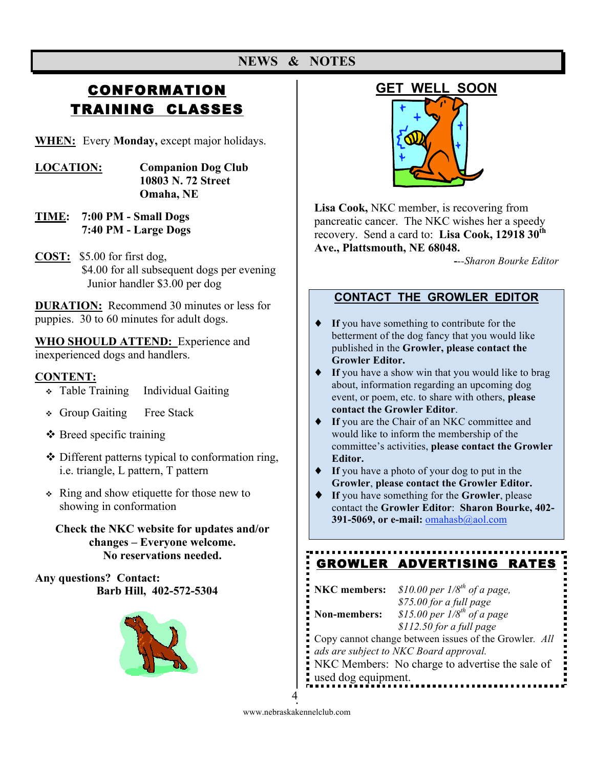## **CONFORMATION** TRAINING CLASSES

**WHEN:** Every **Monday,** except major holidays.

- **LOCATION: Companion Dog Club 10803 N. 72 Street Omaha, NE**
- **TIME: 7:00 PM Small Dogs 7:40 PM - Large Dogs**
- **COST:** \$5.00 for first dog, \$4.00 for all subsequent dogs per evening Junior handler \$3.00 per dog

**DURATION:** Recommend 30 minutes or less for puppies. 30 to 60 minutes for adult dogs.

**WHO SHOULD ATTEND:** Experience and inexperienced dogs and handlers.

#### **CONTENT:**

- Table Training Individual Gaiting
- Group Gaiting Free Stack
- $\triangle$  Breed specific training
- Different patterns typical to conformation ring, i.e. triangle, L pattern, T pattern
- Ring and show etiquette for those new to showing in conformation
	- **Check the NKC website for updates and/or changes – Everyone welcome. No reservations needed.**

**Any questions? Contact: Barb Hill, 402-572-5304**



### **GET WELL SOON**



**Lisa Cook,** NKC member, is recovering from pancreatic cancer. The NKC wishes her a speedy recovery. Send a card to: **Lisa Cook, 12918 30th Ave., Plattsmouth, NE 68048.**

**-***--Sharon Bourke Editor*

### **CONTACT THE GROWLER EDITOR**

- ♦ **If** you have something to contribute for the betterment of the dog fancy that you would like published in the **Growler, please contact the Growler Editor.**
- ♦ **If** you have a show win that you would like to brag about, information regarding an upcoming dog event, or poem, etc. to share with others, **please contact the Growler Editor**.
- If you are the Chair of an NKC committee and would like to inform the membership of the committee's activities, **please contact the Growler Editor.**
- ♦ **If** you have a photo of your dog to put in the **Growler**, **please contact the Growler Editor.**
- ♦ **If** you have something for the **Growler**, please contact the **Growler Editor**: **Sharon Bourke, 402- 391-5069, or e-mail: omahasb**@aol.com

## GROWLER ADVERTISING RATES

| NKC members:        | \$10.00 per $1/8^{th}$ of a page,                     |
|---------------------|-------------------------------------------------------|
|                     | \$75.00 for a full page                               |
| Non-members:        | \$15.00 per $1/8^{th}$ of a page                      |
|                     | $$112.50$ for a full page                             |
|                     | Copy cannot change between issues of the Growler. All |
|                     | ads are subject to NKC Board approval.                |
|                     | NKC Members: No charge to advertise the sale of       |
| used dog equipment. |                                                       |

4

www.nebraskakennelclub.com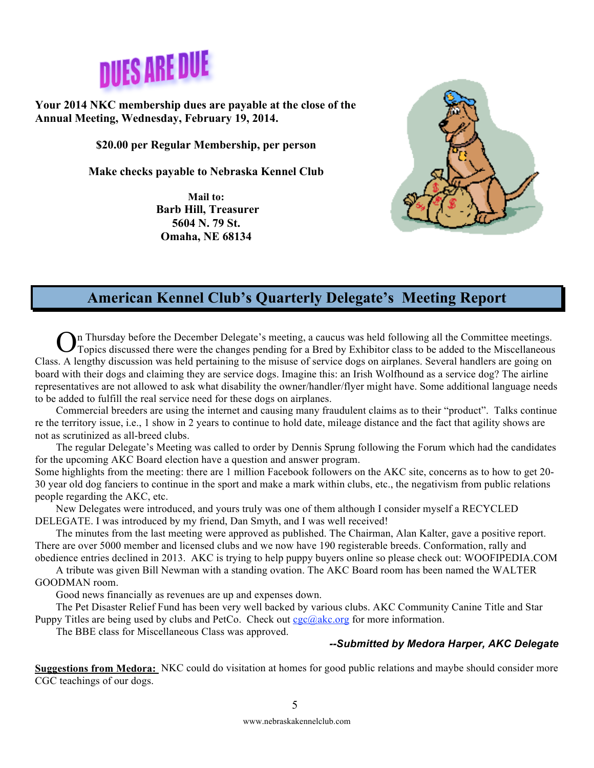

**Your 2014 NKC membership dues are payable at the close of the Annual Meeting, Wednesday, February 19, 2014.** 

**\$20.00 per Regular Membership, per person**

**Make checks payable to Nebraska Kennel Club**

**Mail to: Barb Hill, Treasurer 5604 N. 79 St. Omaha, NE 68134**



### **American Kennel Club's Quarterly Delegate's Meeting Report**

In Thursday before the December Delegate's meeting, a caucus was held following all the Committee meetings. On Thursday before the December Delegate's meeting, a caucus was held following all the Committee meetings.<br>
OTopics discussed there were the changes pending for a Bred by Exhibitor class to be added to the Miscellaneous Class. A lengthy discussion was held pertaining to the misuse of service dogs on airplanes. Several handlers are going on board with their dogs and claiming they are service dogs. Imagine this: an Irish Wolfhound as a service dog? The airline representatives are not allowed to ask what disability the owner/handler/flyer might have. Some additional language needs to be added to fulfill the real service need for these dogs on airplanes.

Commercial breeders are using the internet and causing many fraudulent claims as to their "product". Talks continue re the territory issue, i.e., 1 show in 2 years to continue to hold date, mileage distance and the fact that agility shows are not as scrutinized as all-breed clubs.

The regular Delegate's Meeting was called to order by Dennis Sprung following the Forum which had the candidates for the upcoming AKC Board election have a question and answer program.

Some highlights from the meeting: there are 1 million Facebook followers on the AKC site, concerns as to how to get 20- 30 year old dog fanciers to continue in the sport and make a mark within clubs, etc., the negativism from public relations people regarding the AKC, etc.

New Delegates were introduced, and yours truly was one of them although I consider myself a RECYCLED DELEGATE. I was introduced by my friend, Dan Smyth, and I was well received!

The minutes from the last meeting were approved as published. The Chairman, Alan Kalter, gave a positive report. There are over 5000 member and licensed clubs and we now have 190 registerable breeds. Conformation, rally and

obedience entries declined in 2013. AKC is trying to help puppy buyers online so please check out: WOOFIPEDIA.COM A tribute was given Bill Newman with a standing ovation. The AKC Board room has been named the WALTER GOODMAN room.

Good news financially as revenues are up and expenses down.

The Pet Disaster Relief Fund has been very well backed by various clubs. AKC Community Canine Title and Star Puppy Titles are being used by clubs and PetCo. Check out  $cgc@akc.org$  for more information.

The BBE class for Miscellaneous Class was approved.

#### *--Submitted by Medora Harper, AKC Delegate*

**Suggestions from Medora:** NKC could do visitation at homes for good public relations and maybe should consider more CGC teachings of our dogs.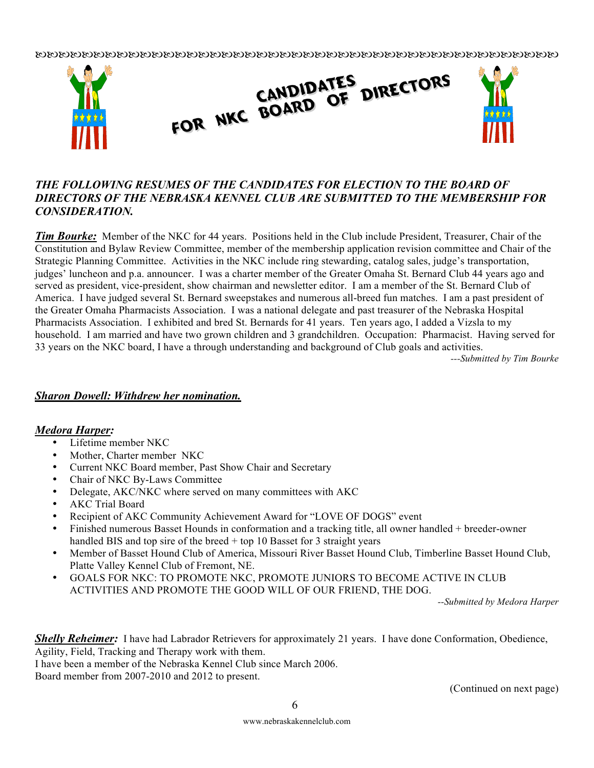

#### *THE FOLLOWING RESUMES OF THE CANDIDATES FOR ELECTION TO THE BOARD OF DIRECTORS OF THE NEBRASKA KENNEL CLUB ARE SUBMITTED TO THE MEMBERSHIP FOR CONSIDERATION.*

*Tim Bourke:* Member of the NKC for 44 years. Positions held in the Club include President, Treasurer, Chair of the Constitution and Bylaw Review Committee, member of the membership application revision committee and Chair of the Strategic Planning Committee. Activities in the NKC include ring stewarding, catalog sales, judge's transportation, judges' luncheon and p.a. announcer. I was a charter member of the Greater Omaha St. Bernard Club 44 years ago and served as president, vice-president, show chairman and newsletter editor. I am a member of the St. Bernard Club of America. I have judged several St. Bernard sweepstakes and numerous all-breed fun matches. I am a past president of the Greater Omaha Pharmacists Association. I was a national delegate and past treasurer of the Nebraska Hospital Pharmacists Association. I exhibited and bred St. Bernards for 41 years. Ten years ago, I added a Vizsla to my household. I am married and have two grown children and 3 grandchildren. Occupation: Pharmacist. Having served for 33 years on the NKC board, I have a through understanding and background of Club goals and activities.

*---Submitted by Tim Bourke*

#### *Sharon Dowell: Withdrew her nomination.*

#### *Medora Harper:*

- Lifetime member NKC
- Mother, Charter member NKC
- Current NKC Board member, Past Show Chair and Secretary
- Chair of NKC By-Laws Committee
- Delegate, AKC/NKC where served on many committees with AKC
- AKC Trial Board
- Recipient of AKC Community Achievement Award for "LOVE OF DOGS" event
- Finished numerous Basset Hounds in conformation and a tracking title, all owner handled + breeder-owner handled BIS and top sire of the breed + top 10 Basset for 3 straight years
- Member of Basset Hound Club of America, Missouri River Basset Hound Club, Timberline Basset Hound Club, Platte Valley Kennel Club of Fremont, NE.
- GOALS FOR NKC: TO PROMOTE NKC, PROMOTE JUNIORS TO BECOME ACTIVE IN CLUB ACTIVITIES AND PROMOTE THE GOOD WILL OF OUR FRIEND, THE DOG.

*--Submitted by Medora Harper*

*Shelly Reheimer:* I have had Labrador Retrievers for approximately 21 years. I have done Conformation, Obedience, Agility, Field, Tracking and Therapy work with them.

I have been a member of the Nebraska Kennel Club since March 2006.

Board member from 2007-2010 and 2012 to present.

(Continued on next page)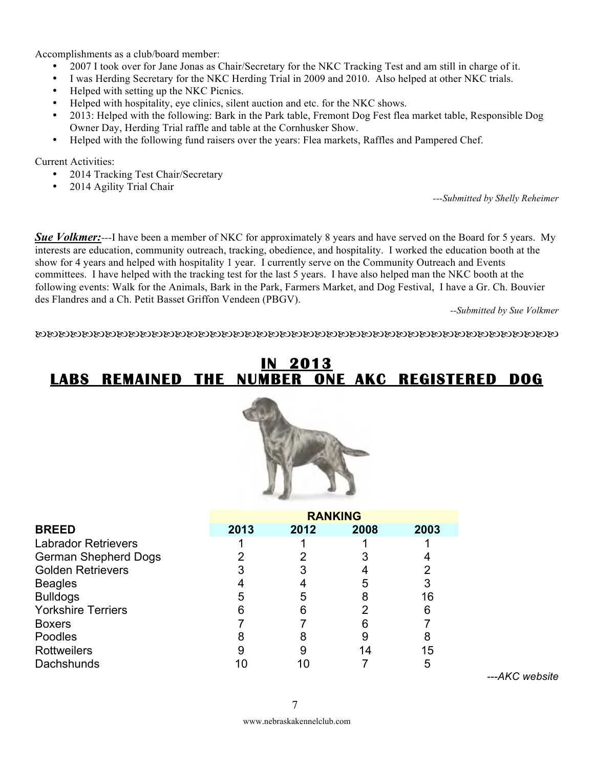Accomplishments as a club/board member:

- 2007 I took over for Jane Jonas as Chair/Secretary for the NKC Tracking Test and am still in charge of it.
- I was Herding Secretary for the NKC Herding Trial in 2009 and 2010. Also helped at other NKC trials.
- Helped with setting up the NKC Picnics.
- Helped with hospitality, eye clinics, silent auction and etc. for the NKC shows.
- 2013: Helped with the following: Bark in the Park table, Fremont Dog Fest flea market table, Responsible Dog Owner Day, Herding Trial raffle and table at the Cornhusker Show.
- Helped with the following fund raisers over the years: Flea markets, Raffles and Pampered Chef.

Current Activities:

- 2014 Tracking Test Chair/Secretary
- 2014 Agility Trial Chair

*---Submitted by Shelly Reheimer*

**Sue Volkmer:**---I have been a member of NKC for approximately 8 years and have served on the Board for 5 years. My interests are education, community outreach, tracking, obedience, and hospitality. I worked the education booth at the show for 4 years and helped with hospitality 1 year. I currently serve on the Community Outreach and Events committees. I have helped with the tracking test for the last 5 years. I have also helped man the NKC booth at the following events: Walk for the Animals, Bark in the Park, Farmers Market, and Dog Festival, I have a Gr. Ch. Bouvier des Flandres and a Ch. Petit Basset Griffon Vendeen (PBGV).

*--Submitted by Sue Volkmer*

### **IN 2013 LABS REMAINED THE NUMBER ONE AKC REGISTERED DOG**



|                             | <b>RANKING</b> |      |      |      |
|-----------------------------|----------------|------|------|------|
| <b>BREED</b>                | 2013           | 2012 | 2008 | 2003 |
| <b>Labrador Retrievers</b>  |                |      |      |      |
| <b>German Shepherd Dogs</b> |                |      |      |      |
| <b>Golden Retrievers</b>    |                |      |      |      |
| <b>Beagles</b>              |                |      | 5    |      |
| <b>Bulldogs</b>             | 5              |      | 8    | 16   |
| <b>Yorkshire Terriers</b>   | 6              |      |      | 6    |
| <b>Boxers</b>               |                |      |      |      |
| Poodles                     | 8              |      | 9    | 8    |
| <b>Rottweilers</b>          |                |      | 14   | 15   |
| Dachshunds                  |                |      |      |      |

*---AKC website*